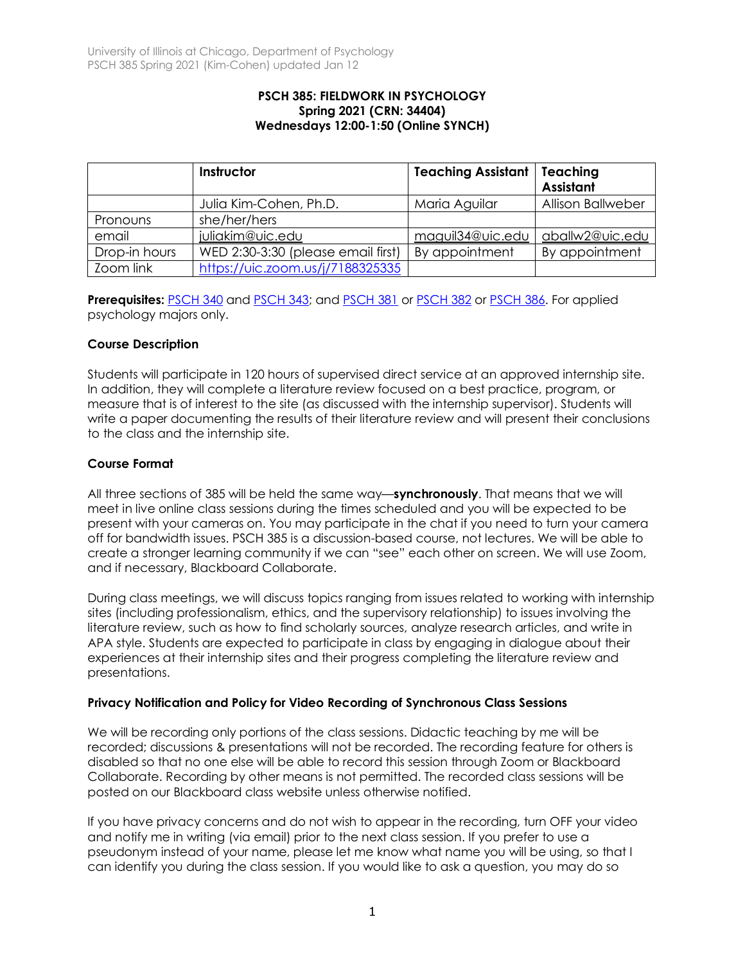#### **PSCH 385: FIELDWORK IN PSYCHOLOGY Spring 2021 (CRN: 34404) Wednesdays 12:00-1:50 (Online SYNCH)**

|               | Instructor                         | <b>Teaching Assistant   Teaching</b> | <b>Assistant</b>         |
|---------------|------------------------------------|--------------------------------------|--------------------------|
|               | Julia Kim-Cohen, Ph.D.             | Maria Aguilar                        | <b>Allison Ballweber</b> |
| Pronouns      | she/her/hers                       |                                      |                          |
| email         | juliakim@uic.edu                   | maguil34@uic.edu                     | aballw2@uic.edu          |
| Drop-in hours | WED 2:30-3:30 (please email first) | By appointment                       | By appointment           |
| Zoom link     | https://uic.zoom.us/j/7188325335   |                                      |                          |

**Prerequisites:** PSCH 340 and PSCH 343; and PSCH 381 or PSCH 382 or PSCH 386. For applied psychology majors only.

## **Course Description**

Students will participate in 120 hours of supervised direct service at an approved internship site. In addition, they will complete a literature review focused on a best practice, program, or measure that is of interest to the site (as discussed with the internship supervisor). Students will write a paper documenting the results of their literature review and will present their conclusions to the class and the internship site.

# **Course Format**

All three sections of 385 will be held the same way—**synchronously**. That means that we will meet in live online class sessions during the times scheduled and you will be expected to be present with your cameras on. You may participate in the chat if you need to turn your camera off for bandwidth issues. PSCH 385 is a discussion-based course, not lectures. We will be able to create a stronger learning community if we can "see" each other on screen. We will use Zoom, and if necessary, Blackboard Collaborate.

During class meetings, we will discuss topics ranging from issues related to working with internship sites (including professionalism, ethics, and the supervisory relationship) to issues involving the literature review, such as how to find scholarly sources, analyze research articles, and write in APA style. Students are expected to participate in class by engaging in dialogue about their experiences at their internship sites and their progress completing the literature review and presentations.

## **Privacy Notification and Policy for Video Recording of Synchronous Class Sessions**

We will be recording only portions of the class sessions. Didactic teaching by me will be recorded; discussions & presentations will not be recorded. The recording feature for others is disabled so that no one else will be able to record this session through Zoom or Blackboard Collaborate. Recording by other means is not permitted. The recorded class sessions will be posted on our Blackboard class website unless otherwise notified.

If you have privacy concerns and do not wish to appear in the recording, turn OFF your video and notify me in writing (via email) prior to the next class session. If you prefer to use a pseudonym instead of your name, please let me know what name you will be using, so that I can identify you during the class session. If you would like to ask a question, you may do so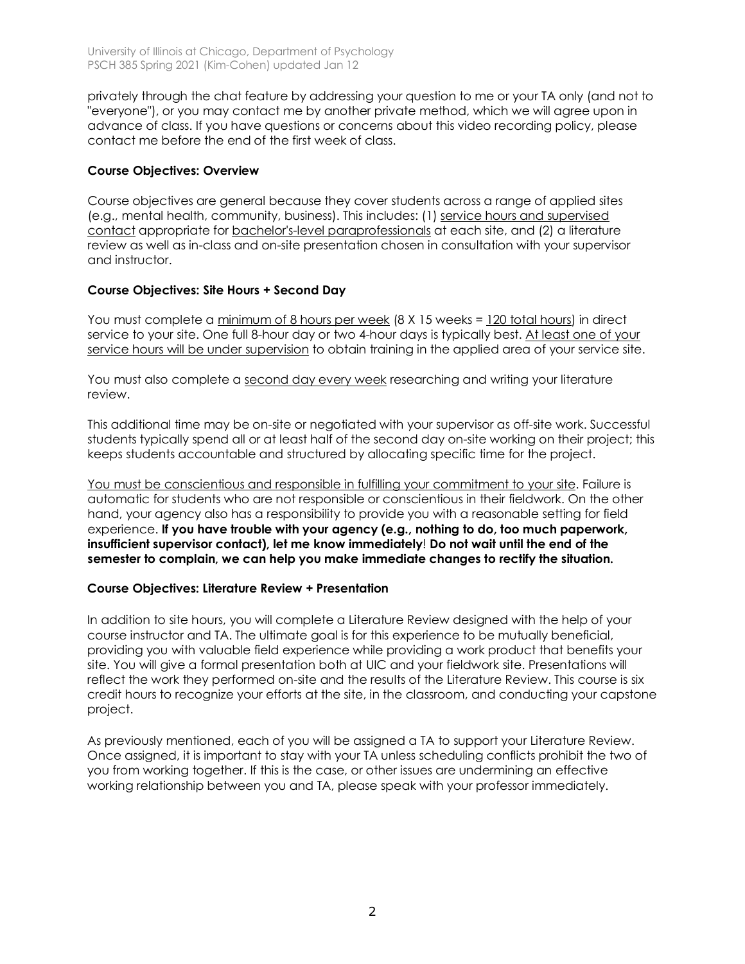privately through the chat feature by addressing your question to me or your TA only (and not to "everyone"), or you may contact me by another private method, which we will agree upon in advance of class. If you have questions or concerns about this video recording policy, please contact me before the end of the first week of class.

# **Course Objectives: Overview**

Course objectives are general because they cover students across a range of applied sites (e.g., mental health, community, business). This includes: (1) service hours and supervised contact appropriate for bachelor's-level paraprofessionals at each site, and (2) a literature review as well as in-class and on-site presentation chosen in consultation with your supervisor and instructor.

# **Course Objectives: Site Hours + Second Day**

You must complete a minimum of 8 hours per week (8 X 15 weeks = 120 total hours) in direct service to your site. One full 8-hour day or two 4-hour days is typically best. At least one of your service hours will be under supervision to obtain training in the applied area of your service site.

You must also complete a second day every week researching and writing your literature review.

This additional time may be on-site or negotiated with your supervisor as off-site work. Successful students typically spend all or at least half of the second day on-site working on their project; this keeps students accountable and structured by allocating specific time for the project.

You must be conscientious and responsible in fulfilling your commitment to your site. Failure is automatic for students who are not responsible or conscientious in their fieldwork. On the other hand, your agency also has a responsibility to provide you with a reasonable setting for field experience. **If you have trouble with your agency (e.g., nothing to do, too much paperwork, insufficient supervisor contact), let me know immediately**! **Do not wait until the end of the semester to complain, we can help you make immediate changes to rectify the situation.**

# **Course Objectives: Literature Review + Presentation**

In addition to site hours, you will complete a Literature Review designed with the help of your course instructor and TA. The ultimate goal is for this experience to be mutually beneficial, providing you with valuable field experience while providing a work product that benefits your site. You will give a formal presentation both at UIC and your fieldwork site. Presentations will reflect the work they performed on-site and the results of the Literature Review. This course is six credit hours to recognize your efforts at the site, in the classroom, and conducting your capstone project.

As previously mentioned, each of you will be assigned a TA to support your Literature Review. Once assigned, it is important to stay with your TA unless scheduling conflicts prohibit the two of you from working together. If this is the case, or other issues are undermining an effective working relationship between you and TA, please speak with your professor immediately.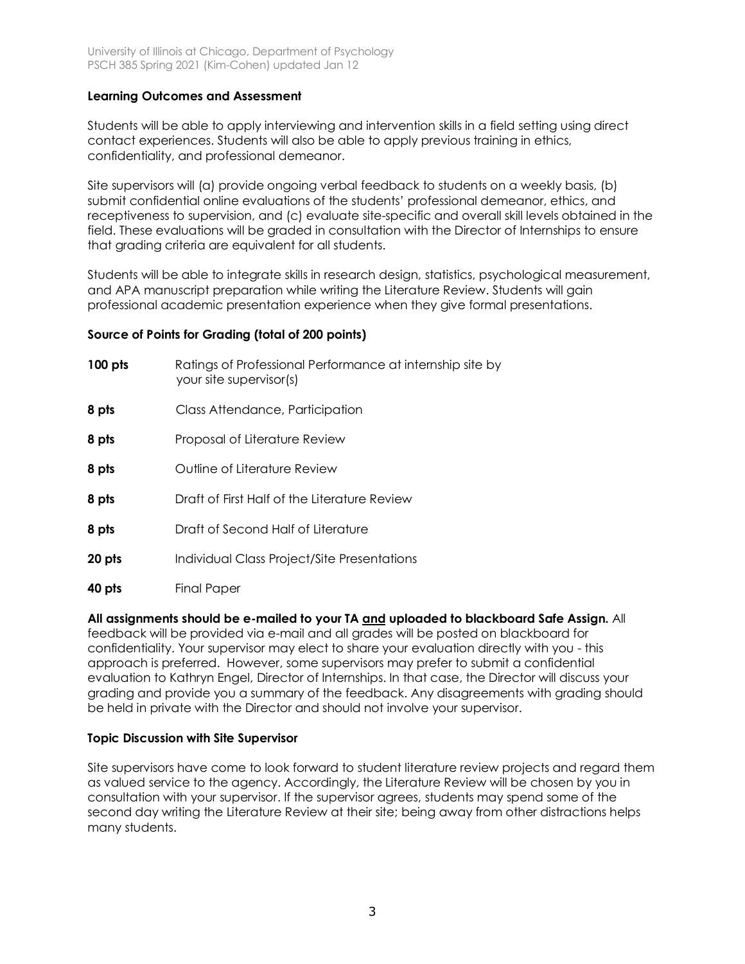## **Learning Outcomes and Assessment**

Students will be able to apply interviewing and intervention skills in a field setting using direct contact experiences. Students will also be able to apply previous training in ethics, confidentiality, and professional demeanor.

Site supervisors will (a) provide ongoing verbal feedback to students on a weekly basis, (b) submit confidential online evaluations of the students' professional demeanor, ethics, and receptiveness to supervision, and (c) evaluate site-specific and overall skill levels obtained in the field. These evaluations will be graded in consultation with the Director of Internships to ensure that grading criteria are equivalent for all students.

Students will be able to integrate skills in research design, statistics, psychological measurement, and APA manuscript preparation while writing the Literature Review. Students will gain professional academic presentation experience when they give formal presentations.

# **Source of Points for Grading (total of 200 points)**

| $100$ pts | Ratings of Professional Performance at internship site by<br>your site supervisor(s) |  |
|-----------|--------------------------------------------------------------------------------------|--|
| 8 pts     | Class Attendance, Participation                                                      |  |
| 8 pts     | Proposal of Literature Review                                                        |  |
| 8 pts     | Outline of Literature Review                                                         |  |
| 8 pts     | Draft of First Half of the Literature Review                                         |  |
| 8 pts     | Draft of Second Half of Literature                                                   |  |
| 20 pts    | Individual Class Project/Site Presentations                                          |  |
| 40 pts    | Final Paper                                                                          |  |

## **All assignments should be e-mailed to your TA and uploaded to blackboard Safe Assign.** All

feedback will be provided via e-mail and all grades will be posted on blackboard for confidentiality. Your supervisor may elect to share your evaluation directly with you - this approach is preferred. However, some supervisors may prefer to submit a confidential evaluation to Kathryn Engel, Director of Internships. In that case, the Director will discuss your grading and provide you a summary of the feedback. Any disagreements with grading should be held in private with the Director and should not involve your supervisor.

#### **Topic Discussion with Site Supervisor**

Site supervisors have come to look forward to student literature review projects and regard them as valued service to the agency. Accordingly, the Literature Review will be chosen by you in consultation with your supervisor. If the supervisor agrees, students may spend some of the second day writing the Literature Review at their site; being away from other distractions helps many students.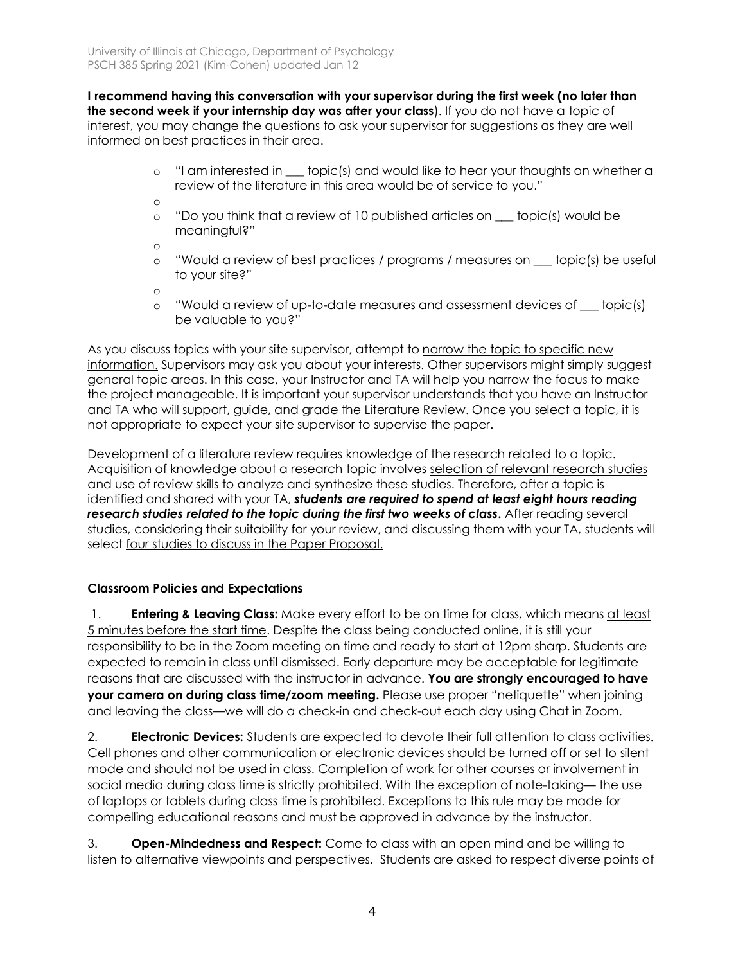**I recommend having this conversation with your supervisor during the first week (no later than the second week if your internship day was after your class**). If you do not have a topic of interest, you may change the questions to ask your supervisor for suggestions as they are well informed on best practices in their area.

- o "I am interested in \_\_\_ topic(s) and would like to hear your thoughts on whether a review of the literature in this area would be of service to you."
- o
- $\circ$  "Do you think that a review of 10 published articles on  $\sim$  topic(s) would be meaningful?"

o

o "Would a review of best practices / programs / measures on \_\_\_ topic(s) be useful to your site?"

o

o "Would a review of up-to-date measures and assessment devices of \_\_\_ topic(s) be valuable to you?"

As you discuss topics with your site supervisor, attempt to narrow the topic to specific new information. Supervisors may ask you about your interests. Other supervisors might simply suggest general topic areas. In this case, your Instructor and TA will help you narrow the focus to make the project manageable. It is important your supervisor understands that you have an Instructor and TA who will support, guide, and grade the Literature Review. Once you select a topic, it is not appropriate to expect your site supervisor to supervise the paper.

Development of a literature review requires knowledge of the research related to a topic. Acquisition of knowledge about a research topic involves selection of relevant research studies and use of review skills to analyze and synthesize these studies. Therefore, after a topic is identified and shared with your TA, *students are required to spend at least eight hours reading research studies related to the topic during the first two weeks of class***.** After reading several studies, considering their suitability for your review, and discussing them with your TA, students will select four studies to discuss in the Paper Proposal.

# **Classroom Policies and Expectations**

1. **Entering & Leaving Class:** Make every effort to be on time for class, which means at least 5 minutes before the start time. Despite the class being conducted online, it is still your responsibility to be in the Zoom meeting on time and ready to start at 12pm sharp. Students are expected to remain in class until dismissed. Early departure may be acceptable for legitimate reasons that are discussed with the instructor in advance. **You are strongly encouraged to have your camera on during class time/zoom meeting.** Please use proper "netiquette" when joining and leaving the class—we will do a check-in and check-out each day using Chat in Zoom.

2. **Electronic Devices:** Students are expected to devote their full attention to class activities. Cell phones and other communication or electronic devices should be turned off or set to silent mode and should not be used in class. Completion of work for other courses or involvement in social media during class time is strictly prohibited. With the exception of note-taking— the use of laptops or tablets during class time is prohibited. Exceptions to this rule may be made for compelling educational reasons and must be approved in advance by the instructor.

3. **Open-Mindedness and Respect:** Come to class with an open mind and be willing to listen to alternative viewpoints and perspectives. Students are asked to respect diverse points of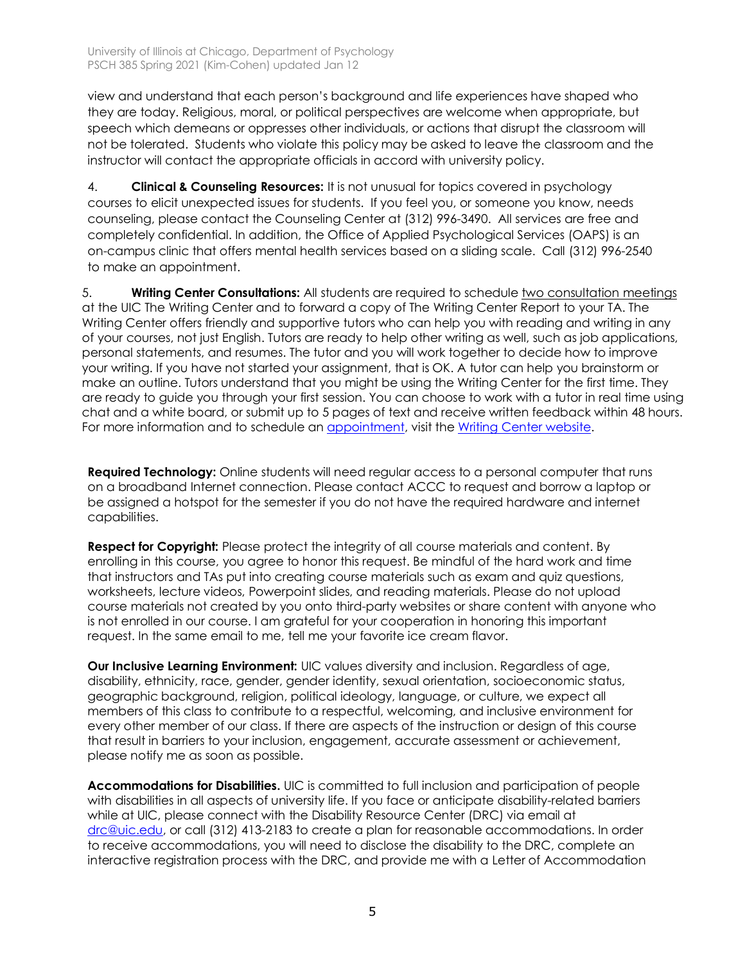view and understand that each person's background and life experiences have shaped who they are today. Religious, moral, or political perspectives are welcome when appropriate, but speech which demeans or oppresses other individuals, or actions that disrupt the classroom will not be tolerated. Students who violate this policy may be asked to leave the classroom and the instructor will contact the appropriate officials in accord with university policy.

4. **Clinical & Counseling Resources:** It is not unusual for topics covered in psychology courses to elicit unexpected issues for students. If you feel you, or someone you know, needs counseling, please contact the Counseling Center at (312) 996-3490. All services are free and completely confidential. In addition, the Office of Applied Psychological Services (OAPS) is an on-campus clinic that offers mental health services based on a sliding scale. Call (312) 996-2540 to make an appointment.

5. **Writing Center Consultations:** All students are required to schedule two consultation meetings at the UIC The Writing Center and to forward a copy of The Writing Center Report to your TA. The Writing Center offers friendly and supportive tutors who can help you with reading and writing in any of your courses, not just English. Tutors are ready to help other writing as well, such as job applications, personal statements, and resumes. The tutor and you will work together to decide how to improve your writing. If you have not started your assignment, that is OK. A tutor can help you brainstorm or make an outline. Tutors understand that you might be using the Writing Center for the first time. They are ready to guide you through your first session. You can choose to work with a tutor in real time using chat and a white board, or submit up to 5 pages of text and receive written feedback within 48 hours. For more information and to schedule an appointment, visit the Writing Center website.

**Required Technology:** Online students will need regular access to a personal computer that runs on a broadband Internet connection. Please contact ACCC to request and borrow a laptop or be assigned a hotspot for the semester if you do not have the required hardware and internet capabilities.

**Respect for Copyright:** Please protect the integrity of all course materials and content. By enrolling in this course, you agree to honor this request. Be mindful of the hard work and time that instructors and TAs put into creating course materials such as exam and quiz questions, worksheets, lecture videos, Powerpoint slides, and reading materials. Please do not upload course materials not created by you onto third-party websites or share content with anyone who is not enrolled in our course. I am grateful for your cooperation in honoring this important request. In the same email to me, tell me your favorite ice cream flavor.

**Our Inclusive Learning Environment:** UIC values diversity and inclusion. Regardless of age, disability, ethnicity, race, gender, gender identity, sexual orientation, socioeconomic status, geographic background, religion, political ideology, language, or culture, we expect all members of this class to contribute to a respectful, welcoming, and inclusive environment for every other member of our class. If there are aspects of the instruction or design of this course that result in barriers to your inclusion, engagement, accurate assessment or achievement, please notify me as soon as possible.

**Accommodations for Disabilities.** UIC is committed to full inclusion and participation of people with disabilities in all aspects of university life. If you face or anticipate disability-related barriers while at UIC, please connect with the Disability Resource Center (DRC) via email at drc@uic.edu, or call (312) 413-2183 to create a plan for reasonable accommodations. In order to receive accommodations, you will need to disclose the disability to the DRC, complete an interactive registration process with the DRC, and provide me with a Letter of Accommodation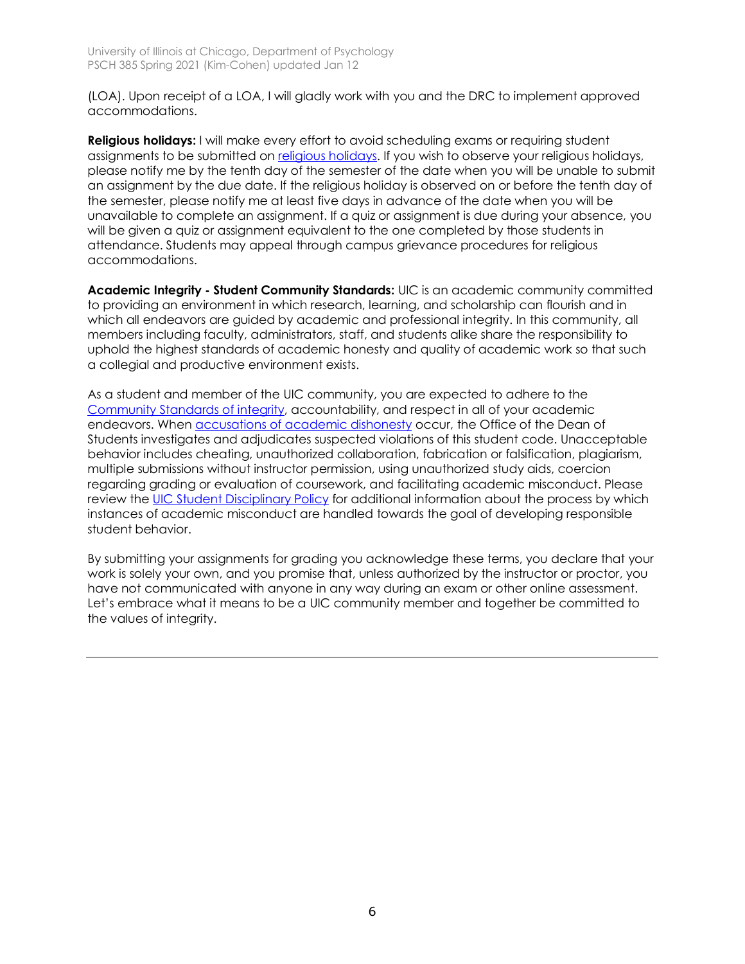(LOA). Upon receipt of a LOA, I will gladly work with you and the DRC to implement approved accommodations.

**Religious holidays:** I will make every effort to avoid scheduling exams or requiring student assignments to be submitted on religious holidays. If you wish to observe your religious holidays, please notify me by the tenth day of the semester of the date when you will be unable to submit an assignment by the due date. If the religious holiday is observed on or before the tenth day of the semester, please notify me at least five days in advance of the date when you will be unavailable to complete an assignment. If a quiz or assignment is due during your absence, you will be given a quiz or assignment equivalent to the one completed by those students in attendance. Students may appeal through campus grievance procedures for religious accommodations.

**Academic Integrity - Student Community Standards:** UIC is an academic community committed to providing an environment in which research, learning, and scholarship can flourish and in which all endeavors are guided by academic and professional integrity. In this community, all members including faculty, administrators, staff, and students alike share the responsibility to uphold the highest standards of academic honesty and quality of academic work so that such a collegial and productive environment exists.

As a student and member of the UIC community, you are expected to adhere to the Community Standards of integrity, accountability, and respect in all of your academic endeavors. When accusations of **academic dishonesty** occur, the Office of the Dean of Students investigates and adjudicates suspected violations of this student code. Unacceptable behavior includes cheating, unauthorized collaboration, fabrication or falsification, plagiarism, multiple submissions without instructor permission, using unauthorized study aids, coercion regarding grading or evaluation of coursework, and facilitating academic misconduct. Please review the UIC Student Disciplinary Policy for additional information about the process by which instances of academic misconduct are handled towards the goal of developing responsible student behavior.

By submitting your assignments for grading you acknowledge these terms, you declare that your work is solely your own, and you promise that, unless authorized by the instructor or proctor, you have not communicated with anyone in any way during an exam or other online assessment. Let's embrace what it means to be a UIC community member and together be committed to the values of integrity.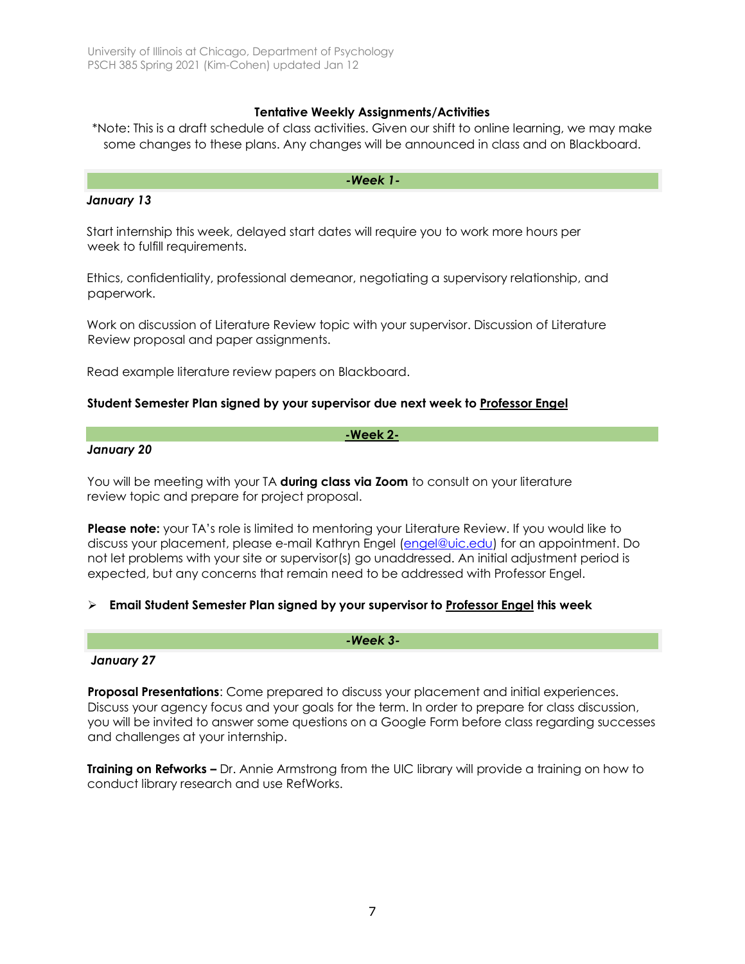## **Tentative Weekly Assignments/Activities**

\*Note: This is a draft schedule of class activities. Given our shift to online learning, we may make some changes to these plans. Any changes will be announced in class and on Blackboard.

#### *-Week 1-*

#### *January 13*

Start internship this week, delayed start dates will require you to work more hours per week to fulfill requirements.

Ethics, confidentiality, professional demeanor, negotiating a supervisory relationship, and paperwork.

Work on discussion of Literature Review topic with your supervisor. Discussion of Literature Review proposal and paper assignments.

Read example literature review papers on Blackboard.

#### **Student Semester Plan signed by your supervisor due next week to Professor Engel**

#### **-Week 2-**

#### *January 20*

You will be meeting with your TA **during class via Zoom** to consult on your literature review topic and prepare for project proposal.

Please note: your TA's role is limited to mentoring your Literature Review. If you would like to discuss your placement, please e-mail Kathryn Engel (engel@uic.edu) for an appointment. Do not let problems with your site or supervisor(s) go unaddressed. An initial adjustment period is expected, but any concerns that remain need to be addressed with Professor Engel.

## Ø **Email Student Semester Plan signed by your supervisor to Professor Engel this week**

#### *January 27*

**Proposal Presentations**: Come prepared to discuss your placement and initial experiences. Discuss your agency focus and your goals for the term. In order to prepare for class discussion, you will be invited to answer some questions on a Google Form before class regarding successes and challenges at your internship.

*-Week 3-*

**Training on Refworks –** Dr. Annie Armstrong from the UIC library will provide a training on how to conduct library research and use RefWorks.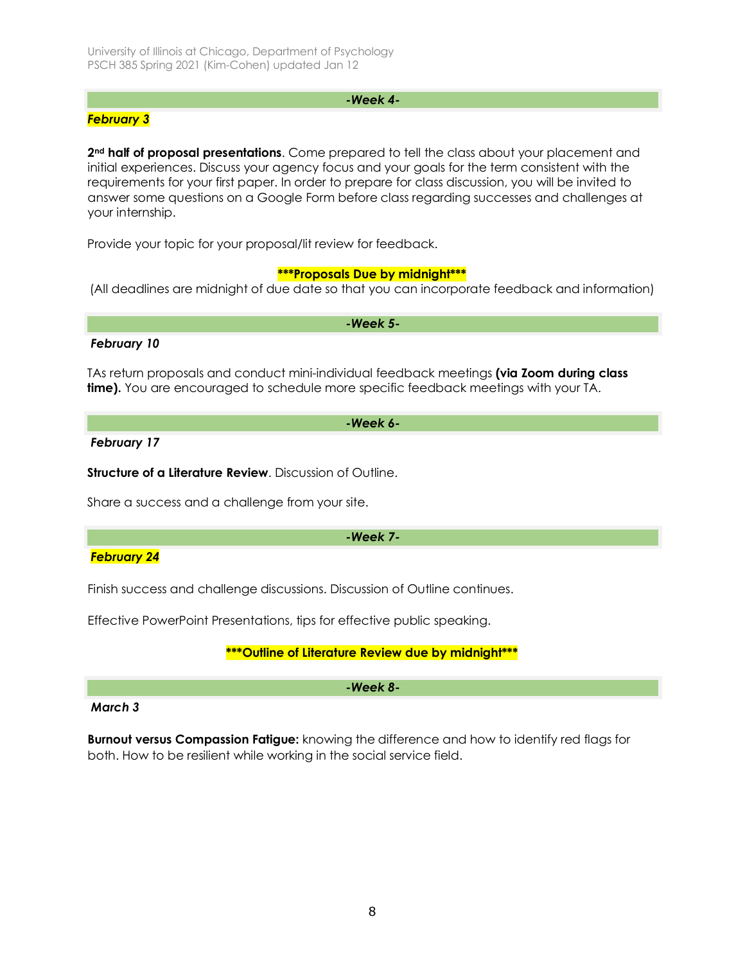## *-Week 4-*

## *February 3*

**2nd half of proposal presentations**. Come prepared to tell the class about your placement and initial experiences. Discuss your agency focus and your goals for the term consistent with the requirements for your first paper. In order to prepare for class discussion, you will be invited to answer some questions on a Google Form before class regarding successes and challenges at your internship.

Provide your topic for your proposal/lit review for feedback.

## **\*\*\*Proposals Due by midnight\*\*\***

(All deadlines are midnight of due date so that you can incorporate feedback and information)

*-Week 5-*

#### *February 10*

TAs return proposals and conduct mini-individual feedback meetings **(via Zoom during class time).** You are encouraged to schedule more specific feedback meetings with your TA.

#### *-Week 6-*

*February 17*

**Structure of a Literature Review.** Discussion of Outline.

Share a success and a challenge from your site.

#### *-Week 7-*

## *February 24*

Finish success and challenge discussions. Discussion of Outline continues.

Effective PowerPoint Presentations, tips for effective public speaking.

# **\*\*\*Outline of Literature Review due by midnight\*\*\***

*-Week 8-*

## *March 3*

**Burnout versus Compassion Fatigue:** knowing the difference and how to identify red flags for both. How to be resilient while working in the social service field.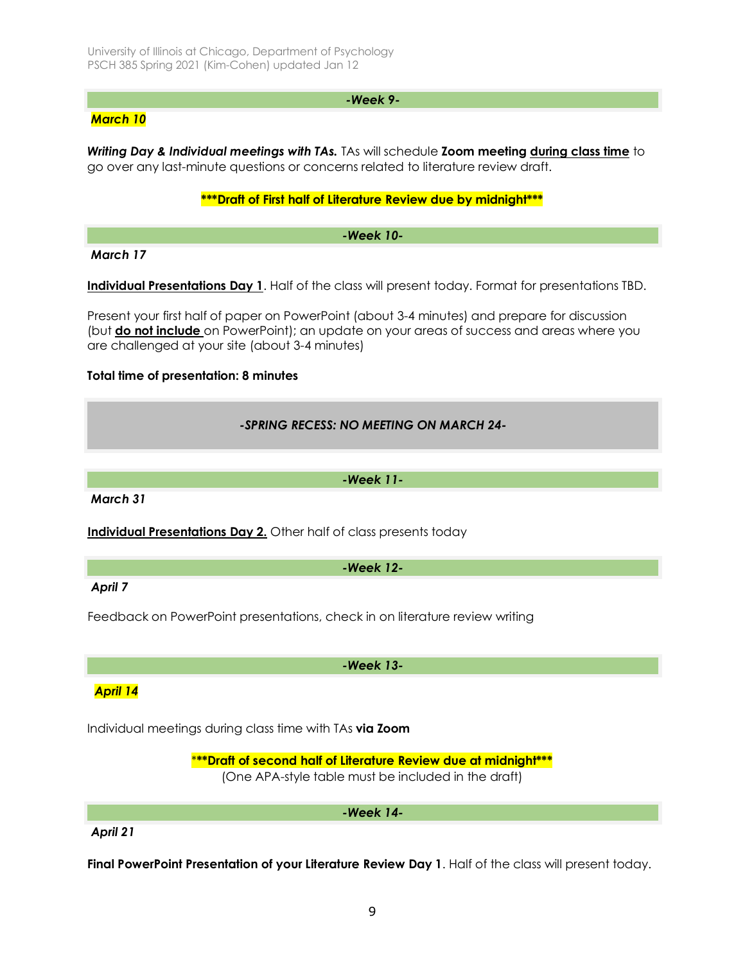#### *-Week 9-*

# *March 10*

*Writing Day & Individual meetings with TAs.* TAs will schedule **Zoom meeting during class time** to go over any last-minute questions or concerns related to literature review draft.

#### **\*\*\*Draft of First half of Literature Review due by midnight\*\*\***

*-Week 10-*

*March 17* 

**Individual Presentations Day 1**. Half of the class will present today. Format for presentations TBD.

Present your first half of paper on PowerPoint (about 3-4 minutes) and prepare for discussion (but **do not include** on PowerPoint); an update on your areas of success and areas where you are challenged at your site (about 3-4 minutes)

## **Total time of presentation: 8 minutes**

# *-SPRING RECESS: NO MEETING ON MARCH 24-*

*-Week 11-*

*March 31*

**Individual Presentations Day 2.** Other half of class presents today

*-Week 12-*

*April 7*

Feedback on PowerPoint presentations, check in on literature review writing

*-Week 13-*

*April 14*

Individual meetings during class time with TAs **via Zoom**

\***\*\*Draft of second half of Literature Review due at midnight\*\*\*** (One APA-style table must be included in the draft)

*-Week 14-*

## *April 21*

**Final PowerPoint Presentation of your Literature Review Day 1**. Half of the class will present today.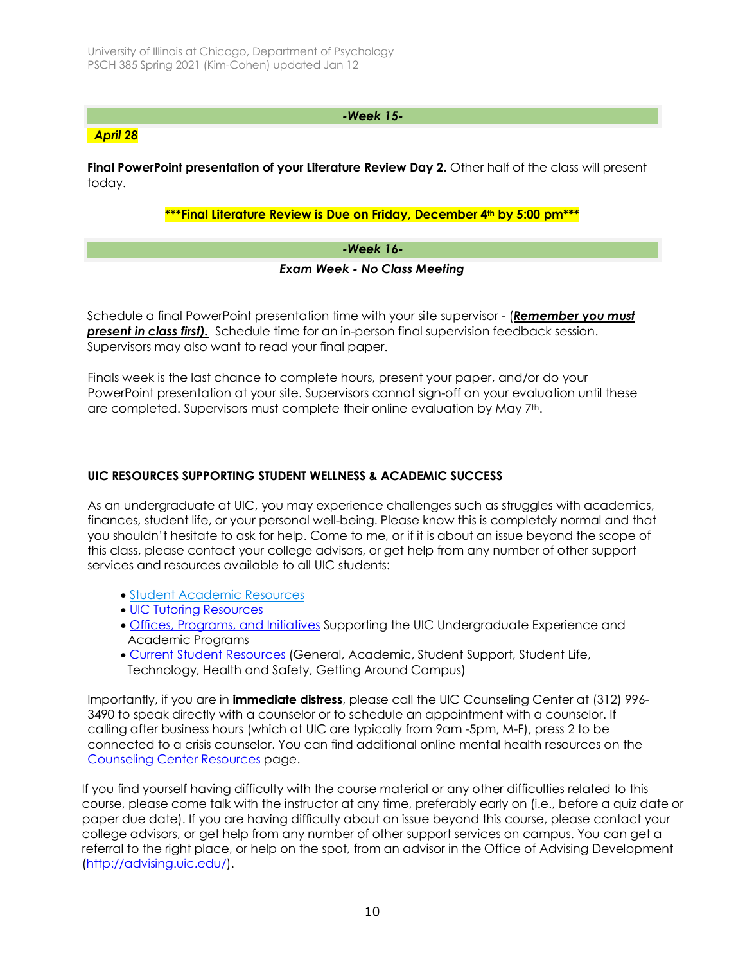# *-Week 15-*

## *April 28*

**Final PowerPoint presentation of your Literature Review Day 2.** Other half of the class will present today.

# **\*\*\*Final Literature Review is Due on Friday, December 4th by 5:00 pm\*\*\***

## *-Week 16-*

## *Exam Week - No Class Meeting*

Schedule a final PowerPoint presentation time with your site supervisor - (*Remember* **y***ou must present in class first).* Schedule time for an in-person final supervision feedback session. Supervisors may also want to read your final paper.

Finals week is the last chance to complete hours, present your paper, and/or do your PowerPoint presentation at your site. Supervisors cannot sign-off on your evaluation until these are completed. Supervisors must complete their online evaluation by May 7th.

## **UIC RESOURCES SUPPORTING STUDENT WELLNESS & ACADEMIC SUCCESS**

As an undergraduate at UIC, you may experience challenges such as struggles with academics, finances, student life, or your personal well-being. Please know this is completely normal and that you shouldn't hesitate to ask for help. Come to me, or if it is about an issue beyond the scope of this class, please contact your college advisors, or get help from any number of other support services and resources available to all UIC students:

- Student Academic Resources
- UIC Tutoring Resources
- Offices, Programs, and Initiatives Supporting the UIC Undergraduate Experience and Academic Programs
- Current Student Resources (General, Academic, Student Support, Student Life, Technology, Health and Safety, Getting Around Campus)

Importantly, if you are in **immediate distress**, please call the UIC Counseling Center at (312) 996- 3490 to speak directly with a counselor or to schedule an appointment with a counselor. If calling after business hours (which at UIC are typically from 9am -5pm, M-F), press 2 to be connected to a crisis counselor. You can find additional online mental health resources on the Counseling Center Resources page.

If you find yourself having difficulty with the course material or any other difficulties related to this course, please come talk with the instructor at any time, preferably early on (i.e., before a quiz date or paper due date). If you are having difficulty about an issue beyond this course, please contact your college advisors, or get help from any number of other support services on campus. You can get a referral to the right place, or help on the spot, from an advisor in the Office of Advising Development (http://advising.uic.edu/).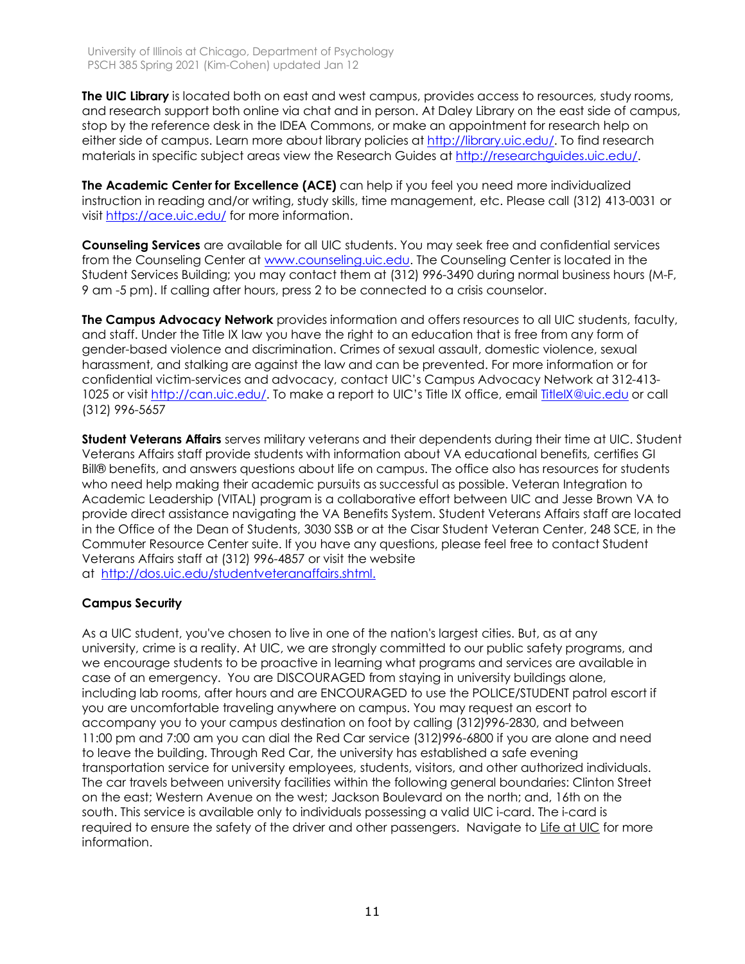**The UIC Library** is located both on east and west campus, provides access to resources, study rooms, and research support both online via chat and in person. At Daley Library on the east side of campus, stop by the reference desk in the IDEA Commons, or make an appointment for research help on either side of campus. Learn more about library policies at http://library.uic.edu/. To find research materials in specific subject areas view the Research Guides at http://researchguides.uic.edu/.

**The Academic Center for Excellence (ACE)** can help if you feel you need more individualized instruction in reading and/or writing, study skills, time management, etc. Please call (312) 413-0031 or visit https://ace.uic.edu/ for more information.

**Counseling Services** are available for all UIC students. You may seek free and confidential services from the Counseling Center at www.counseling.uic.edu. The Counseling Center is located in the Student Services Building; you may contact them at (312) 996-3490 during normal business hours (M-F, 9 am -5 pm). If calling after hours, press 2 to be connected to a crisis counselor.

**The Campus Advocacy Network** provides information and offers resources to all UIC students, faculty, and staff. Under the Title IX law you have the right to an education that is free from any form of gender-based violence and discrimination. Crimes of sexual assault, domestic violence, sexual harassment, and stalking are against the law and can be prevented. For more information or for confidential victim-services and advocacy, contact UIC's Campus Advocacy Network at 312-413- 1025 or visit http://can.uic.edu/. To make a report to UIC's Title IX office, email TitleIX@uic.edu or call (312) 996-5657

**Student Veterans Affairs** serves military veterans and their dependents during their time at UIC. Student Veterans Affairs staff provide students with information about VA educational benefits, certifies GI Bill® benefits, and answers questions about life on campus. The office also has resources for students who need help making their academic pursuits as successful as possible. Veteran Integration to Academic Leadership (VITAL) program is a collaborative effort between UIC and Jesse Brown VA to provide direct assistance navigating the VA Benefits System. Student Veterans Affairs staff are located in the Office of the Dean of Students, 3030 SSB or at the Cisar Student Veteran Center, 248 SCE, in the Commuter Resource Center suite. If you have any questions, please feel free to contact Student Veterans Affairs staff at (312) 996-4857 or visit the website at http://dos.uic.edu/studentveteranaffairs.shtml.

# **Campus Security**

As a UIC student, you've chosen to live in one of the nation's largest cities. But, as at any university, crime is a reality. At UIC, we are strongly committed to our public safety programs, and we encourage students to be proactive in learning what programs and services are available in case of an emergency. You are DISCOURAGED from staying in university buildings alone, including lab rooms, after hours and are ENCOURAGED to use the POLICE/STUDENT patrol escort if you are uncomfortable traveling anywhere on campus. You may request an escort to accompany you to your campus destination on foot by calling (312)996-2830, and between 11:00 pm and 7:00 am you can dial the Red Car service (312)996-6800 if you are alone and need to leave the building. Through Red Car, the university has established a safe evening transportation service for university employees, students, visitors, and other authorized individuals. The car travels between university facilities within the following general boundaries: Clinton Street on the east; Western Avenue on the west; Jackson Boulevard on the north; and, 16th on the south. This service is available only to individuals possessing a valid UIC i-card. The i-card is required to ensure the safety of the driver and other passengers. Navigate to Life at UIC for more information.